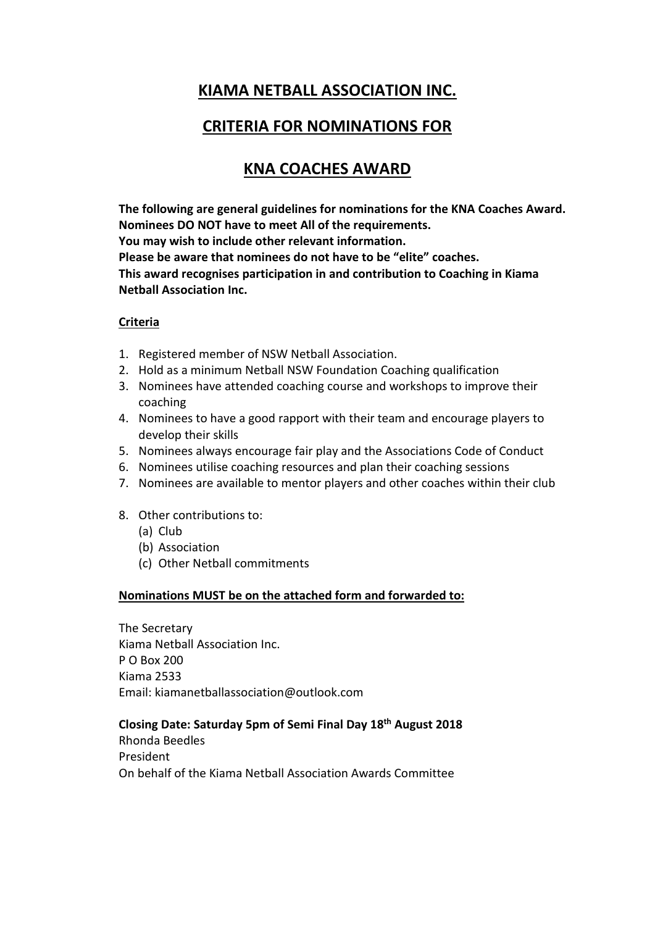## **KIAMA NETBALL ASSOCIATION INC.**

## **CRITERIA FOR NOMINATIONS FOR**

# **KNA COACHES AWARD**

**The following are general guidelines for nominations for the KNA Coaches Award. Nominees DO NOT have to meet All of the requirements. You may wish to include other relevant information. Please be aware that nominees do not have to be "elite" coaches. This award recognises participation in and contribution to Coaching in Kiama Netball Association Inc.**

### **Criteria**

- 1. Registered member of NSW Netball Association.
- 2. Hold as a minimum Netball NSW Foundation Coaching qualification
- 3. Nominees have attended coaching course and workshops to improve their coaching
- 4. Nominees to have a good rapport with their team and encourage players to develop their skills
- 5. Nominees always encourage fair play and the Associations Code of Conduct
- 6. Nominees utilise coaching resources and plan their coaching sessions
- 7. Nominees are available to mentor players and other coaches within their club
- 8. Other contributions to:
	- (a) Club
	- (b) Association
	- (c) Other Netball commitments

### **Nominations MUST be on the attached form and forwarded to:**

The Secretary Kiama Netball Association Inc. P O Box 200 Kiama 2533 Email: kiamanetballassociation@outlook.com

#### **Closing Date: Saturday 5pm of Semi Final Day 18th August 2018**

Rhonda Beedles President On behalf of the Kiama Netball Association Awards Committee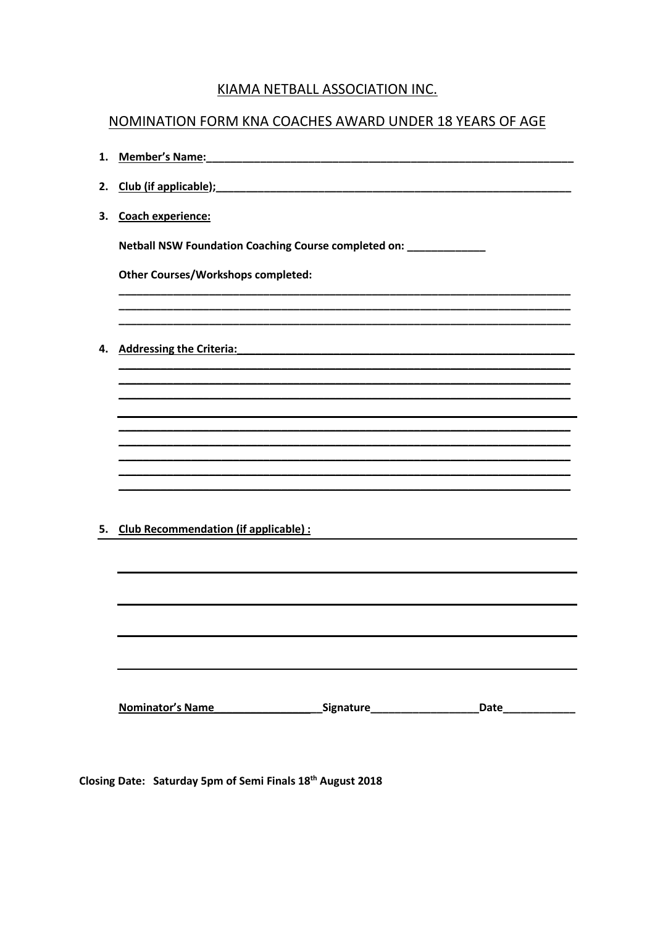## KIAMA NETBALL ASSOCIATION INC.

## NOMINATION FORM KNA COACHES AWARD UNDER 18 YEARS OF AGE

2. Club (if applicable); example and a set of the set of the set of the set of the set of the set of the set of the set of the set of the set of the set of the set of the set of the set of the set of the set of the set of 3. Coach experience: Netball NSW Foundation Coaching Course completed on: \_\_\_\_\_\_\_\_\_\_\_\_ **Other Courses/Workshops completed:** 4. Addressing the Criteria: Analysis and American control of the American control of the American control of the American control of the American control of the American control of the American control of the American cont 5. Club Recommendation (if applicable) : 

Closing Date: Saturday 5pm of Semi Finals 18th August 2018